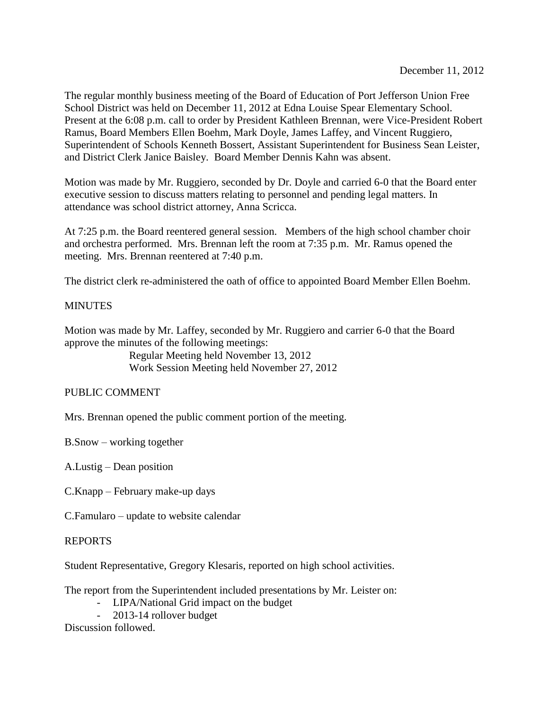The regular monthly business meeting of the Board of Education of Port Jefferson Union Free School District was held on December 11, 2012 at Edna Louise Spear Elementary School. Present at the 6:08 p.m. call to order by President Kathleen Brennan, were Vice-President Robert Ramus, Board Members Ellen Boehm, Mark Doyle, James Laffey, and Vincent Ruggiero, Superintendent of Schools Kenneth Bossert, Assistant Superintendent for Business Sean Leister, and District Clerk Janice Baisley. Board Member Dennis Kahn was absent.

Motion was made by Mr. Ruggiero, seconded by Dr. Doyle and carried 6-0 that the Board enter executive session to discuss matters relating to personnel and pending legal matters. In attendance was school district attorney, Anna Scricca.

At 7:25 p.m. the Board reentered general session. Members of the high school chamber choir and orchestra performed. Mrs. Brennan left the room at 7:35 p.m. Mr. Ramus opened the meeting. Mrs. Brennan reentered at 7:40 p.m.

The district clerk re-administered the oath of office to appointed Board Member Ellen Boehm.

## **MINUTES**

Motion was made by Mr. Laffey, seconded by Mr. Ruggiero and carrier 6-0 that the Board approve the minutes of the following meetings:

> Regular Meeting held November 13, 2012 Work Session Meeting held November 27, 2012

# PUBLIC COMMENT

Mrs. Brennan opened the public comment portion of the meeting.

B.Snow – working together

A.Lustig – Dean position

C.Knapp – February make-up days

C.Famularo – update to website calendar

## REPORTS

Student Representative, Gregory Klesaris, reported on high school activities.

The report from the Superintendent included presentations by Mr. Leister on:

- LIPA/National Grid impact on the budget
- 2013-14 rollover budget

Discussion followed.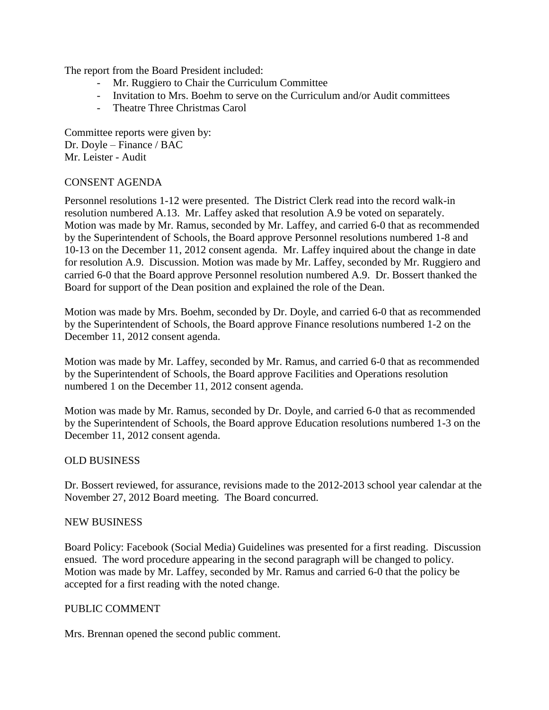The report from the Board President included:

- Mr. Ruggiero to Chair the Curriculum Committee
- Invitation to Mrs. Boehm to serve on the Curriculum and/or Audit committees
- Theatre Three Christmas Carol

Committee reports were given by: Dr. Doyle – Finance / BAC Mr. Leister - Audit

## CONSENT AGENDA

Personnel resolutions 1-12 were presented. The District Clerk read into the record walk-in resolution numbered A.13. Mr. Laffey asked that resolution A.9 be voted on separately. Motion was made by Mr. Ramus, seconded by Mr. Laffey, and carried 6-0 that as recommended by the Superintendent of Schools, the Board approve Personnel resolutions numbered 1-8 and 10-13 on the December 11, 2012 consent agenda. Mr. Laffey inquired about the change in date for resolution A.9. Discussion. Motion was made by Mr. Laffey, seconded by Mr. Ruggiero and carried 6-0 that the Board approve Personnel resolution numbered A.9. Dr. Bossert thanked the Board for support of the Dean position and explained the role of the Dean.

Motion was made by Mrs. Boehm, seconded by Dr. Doyle, and carried 6-0 that as recommended by the Superintendent of Schools, the Board approve Finance resolutions numbered 1-2 on the December 11, 2012 consent agenda.

Motion was made by Mr. Laffey, seconded by Mr. Ramus, and carried 6-0 that as recommended by the Superintendent of Schools, the Board approve Facilities and Operations resolution numbered 1 on the December 11, 2012 consent agenda.

Motion was made by Mr. Ramus, seconded by Dr. Doyle, and carried 6-0 that as recommended by the Superintendent of Schools, the Board approve Education resolutions numbered 1-3 on the December 11, 2012 consent agenda.

## OLD BUSINESS

Dr. Bossert reviewed, for assurance, revisions made to the 2012-2013 school year calendar at the November 27, 2012 Board meeting. The Board concurred.

#### NEW BUSINESS

Board Policy: Facebook (Social Media) Guidelines was presented for a first reading. Discussion ensued. The word procedure appearing in the second paragraph will be changed to policy. Motion was made by Mr. Laffey, seconded by Mr. Ramus and carried 6-0 that the policy be accepted for a first reading with the noted change.

#### PUBLIC COMMENT

Mrs. Brennan opened the second public comment.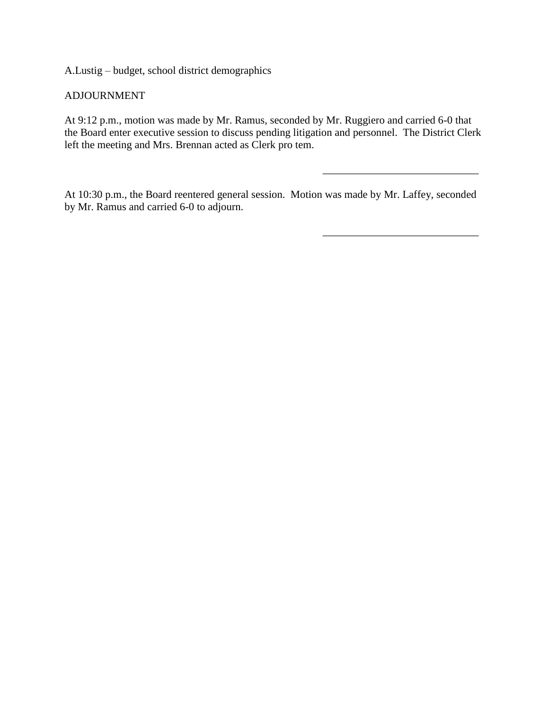A.Lustig – budget, school district demographics

## ADJOURNMENT

At 9:12 p.m., motion was made by Mr. Ramus, seconded by Mr. Ruggiero and carried 6-0 that the Board enter executive session to discuss pending litigation and personnel. The District Clerk left the meeting and Mrs. Brennan acted as Clerk pro tem.

\_\_\_\_\_\_\_\_\_\_\_\_\_\_\_\_\_\_\_\_\_\_\_\_\_\_\_\_\_

\_\_\_\_\_\_\_\_\_\_\_\_\_\_\_\_\_\_\_\_\_\_\_\_\_\_\_\_\_

At 10:30 p.m., the Board reentered general session. Motion was made by Mr. Laffey, seconded by Mr. Ramus and carried 6-0 to adjourn.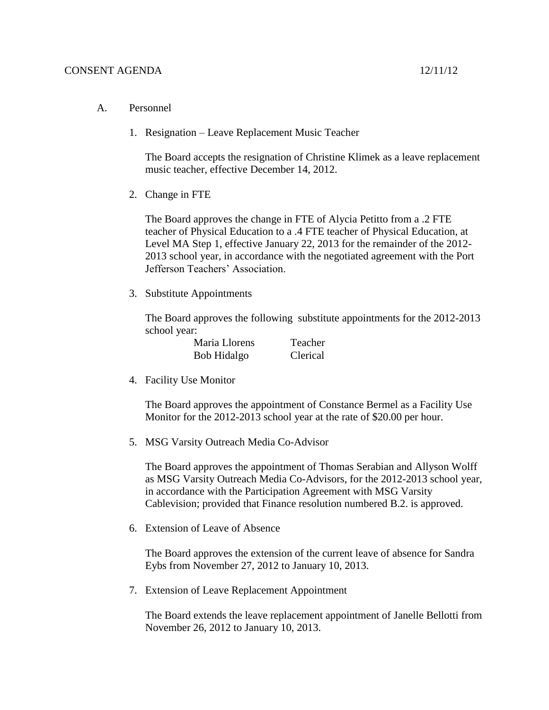- A. Personnel
	- 1. Resignation Leave Replacement Music Teacher

The Board accepts the resignation of Christine Klimek as a leave replacement music teacher, effective December 14, 2012.

2. Change in FTE

The Board approves the change in FTE of Alycia Petitto from a .2 FTE teacher of Physical Education to a .4 FTE teacher of Physical Education, at Level MA Step 1, effective January 22, 2013 for the remainder of the 2012- 2013 school year, in accordance with the negotiated agreement with the Port Jefferson Teachers' Association.

3. Substitute Appointments

The Board approves the following substitute appointments for the 2012-2013 school year:

| Maria Llorens | Teacher  |
|---------------|----------|
| Bob Hidalgo   | Clerical |

4. Facility Use Monitor

The Board approves the appointment of Constance Bermel as a Facility Use Monitor for the 2012-2013 school year at the rate of \$20.00 per hour.

5. MSG Varsity Outreach Media Co-Advisor

The Board approves the appointment of Thomas Serabian and Allyson Wolff as MSG Varsity Outreach Media Co-Advisors, for the 2012-2013 school year, in accordance with the Participation Agreement with MSG Varsity Cablevision; provided that Finance resolution numbered B.2. is approved.

6. Extension of Leave of Absence

The Board approves the extension of the current leave of absence for Sandra Eybs from November 27, 2012 to January 10, 2013.

7. Extension of Leave Replacement Appointment

The Board extends the leave replacement appointment of Janelle Bellotti from November 26, 2012 to January 10, 2013.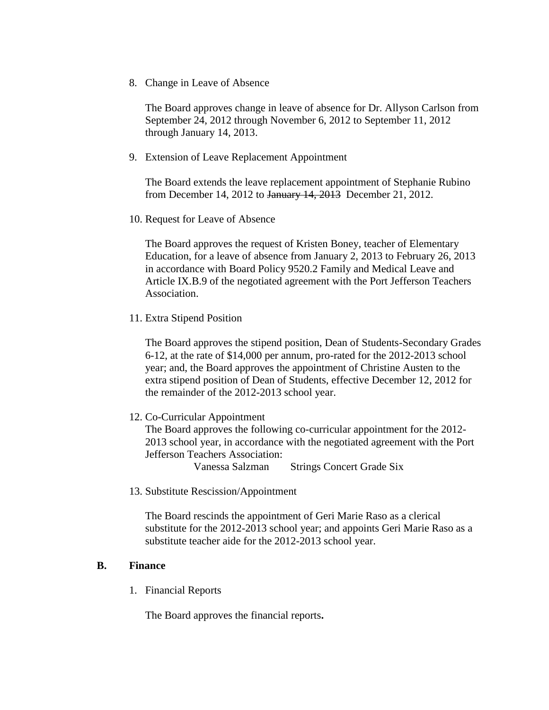8. Change in Leave of Absence

The Board approves change in leave of absence for Dr. Allyson Carlson from September 24, 2012 through November 6, 2012 to September 11, 2012 through January 14, 2013.

9. Extension of Leave Replacement Appointment

The Board extends the leave replacement appointment of Stephanie Rubino from December 14, 2012 to January 14, 2013 December 21, 2012.

10. Request for Leave of Absence

The Board approves the request of Kristen Boney, teacher of Elementary Education, for a leave of absence from January 2, 2013 to February 26, 2013 in accordance with Board Policy 9520.2 Family and Medical Leave and Article IX.B.9 of the negotiated agreement with the Port Jefferson Teachers Association.

11. Extra Stipend Position

The Board approves the stipend position, Dean of Students-Secondary Grades 6-12, at the rate of \$14,000 per annum, pro-rated for the 2012-2013 school year; and, the Board approves the appointment of Christine Austen to the extra stipend position of Dean of Students, effective December 12, 2012 for the remainder of the 2012-2013 school year.

12. Co-Curricular Appointment

The Board approves the following co-curricular appointment for the 2012- 2013 school year, in accordance with the negotiated agreement with the Port Jefferson Teachers Association:

Vanessa Salzman Strings Concert Grade Six

13. Substitute Rescission/Appointment

The Board rescinds the appointment of Geri Marie Raso as a clerical substitute for the 2012-2013 school year; and appoints Geri Marie Raso as a substitute teacher aide for the 2012-2013 school year.

## **B. Finance**

1. Financial Reports

The Board approves the financial reports**.**